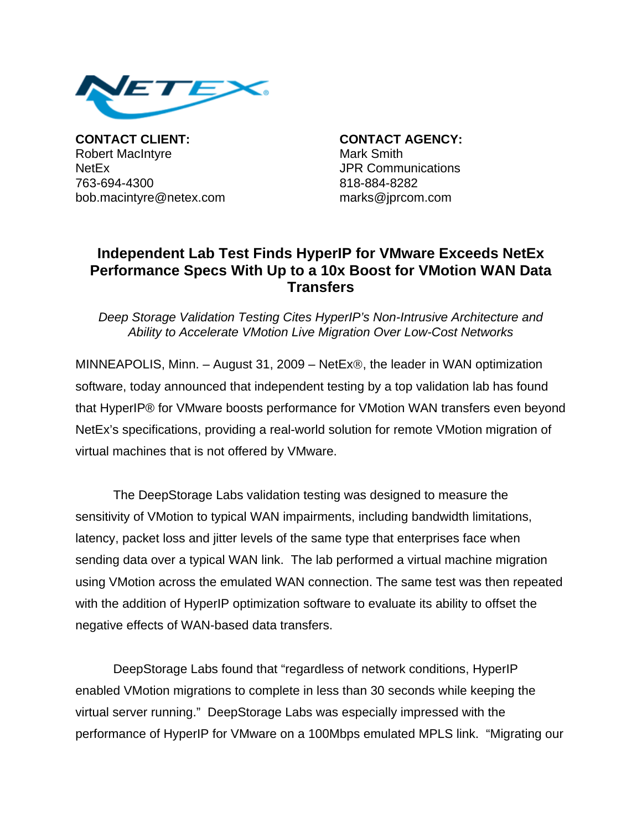

**CONTACT CLIENT: CONTACT AGENCY:** Robert MacIntyre **Mark Smith** NetEx JPR Communications 763-694-4300 818-884-8282 bob.macintyre@netex.com marks@jprcom.com

## **Independent Lab Test Finds HyperIP for VMware Exceeds NetEx Performance Specs With Up to a 10x Boost for VMotion WAN Data Transfers**

*Deep Storage Validation Testing Cites HyperIP's Non-Intrusive Architecture and Ability to Accelerate VMotion Live Migration Over Low-Cost Networks* 

MINNEAPOLIS, Minn. – August 31, 2009 – NetEx®, the leader in WAN optimization software, today announced that independent testing by a top validation lab has found that HyperIP® for VMware boosts performance for VMotion WAN transfers even beyond NetEx's specifications, providing a real-world solution for remote VMotion migration of virtual machines that is not offered by VMware.

The DeepStorage Labs validation testing was designed to measure the sensitivity of VMotion to typical WAN impairments, including bandwidth limitations, latency, packet loss and jitter levels of the same type that enterprises face when sending data over a typical WAN link. The lab performed a virtual machine migration using VMotion across the emulated WAN connection. The same test was then repeated with the addition of HyperIP optimization software to evaluate its ability to offset the negative effects of WAN-based data transfers.

DeepStorage Labs found that "regardless of network conditions, HyperIP enabled VMotion migrations to complete in less than 30 seconds while keeping the virtual server running." DeepStorage Labs was especially impressed with the performance of HyperIP for VMware on a 100Mbps emulated MPLS link. "Migrating our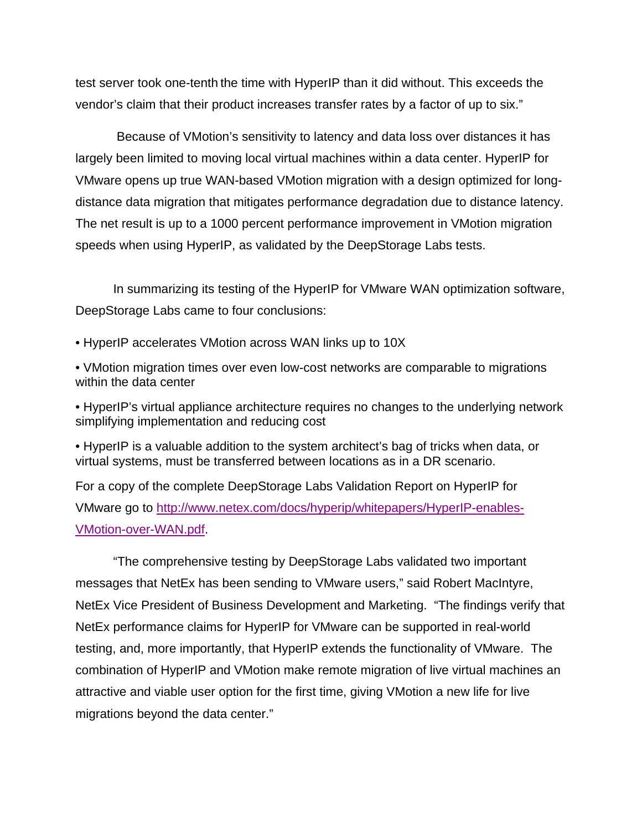test server took one-tenth the time with HyperIP than it did without. This exceeds the vendor's claim that their product increases transfer rates by a factor of up to six."

 Because of VMotion's sensitivity to latency and data loss over distances it has largely been limited to moving local virtual machines within a data center. HyperIP for VMware opens up true WAN-based VMotion migration with a design optimized for longdistance data migration that mitigates performance degradation due to distance latency. The net result is up to a 1000 percent performance improvement in VMotion migration speeds when using HyperIP, as validated by the DeepStorage Labs tests.

In summarizing its testing of the HyperIP for VMware WAN optimization software, DeepStorage Labs came to four conclusions:

- HyperIP accelerates VMotion across WAN links up to 10X
- VMotion migration times over even low-cost networks are comparable to migrations within the data center
- HyperIP's virtual appliance architecture requires no changes to the underlying network simplifying implementation and reducing cost

• HyperIP is a valuable addition to the system architect's bag of tricks when data, or virtual systems, must be transferred between locations as in a DR scenario.

For a copy of the complete DeepStorage Labs Validation Report on HyperIP for VMware go to http://www.netex.com/docs/hyperip/whitepapers/HyperIP-enables-VMotion-over-WAN.pdf.

"The comprehensive testing by DeepStorage Labs validated two important messages that NetEx has been sending to VMware users," said Robert MacIntyre, NetEx Vice President of Business Development and Marketing. "The findings verify that NetEx performance claims for HyperIP for VMware can be supported in real-world testing, and, more importantly, that HyperIP extends the functionality of VMware. The combination of HyperIP and VMotion make remote migration of live virtual machines an attractive and viable user option for the first time, giving VMotion a new life for live migrations beyond the data center."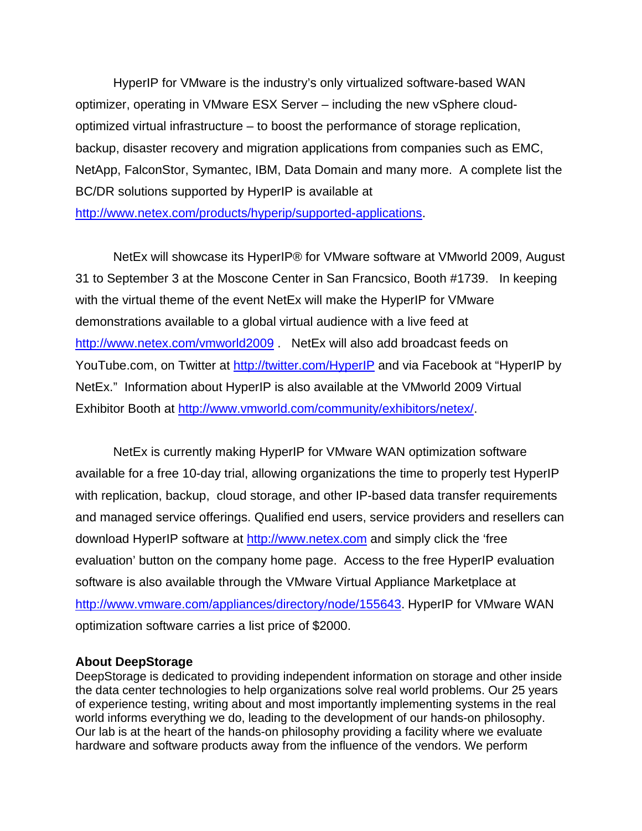HyperIP for VMware is the industry's only virtualized software-based WAN optimizer, operating in VMware ESX Server – including the new vSphere cloudoptimized virtual infrastructure – to boost the performance of storage replication, backup, disaster recovery and migration applications from companies such as EMC, NetApp, FalconStor, Symantec, IBM, Data Domain and many more. A complete list the BC/DR solutions supported by HyperIP is available at http://www.netex.com/products/hyperip/supported-applications.

NetEx will showcase its HyperIP® for VMware software at VMworld 2009, August 31 to September 3 at the Moscone Center in San Francsico, Booth #1739. In keeping with the virtual theme of the event NetEx will make the HyperIP for VMware demonstrations available to a global virtual audience with a live feed at http://www.netex.com/vmworld2009 NetEx will also add broadcast feeds on YouTube.com, on Twitter at http://twitter.com/HyperIP and via Facebook at "HyperIP by NetEx." Information about HyperIP is also available at the VMworld 2009 Virtual Exhibitor Booth at http://www.vmworld.com/community/exhibitors/netex/.

NetEx is currently making HyperIP for VMware WAN optimization software available for a free 10-day trial, allowing organizations the time to properly test HyperIP with replication, backup, cloud storage, and other IP-based data transfer requirements and managed service offerings. Qualified end users, service providers and resellers can download HyperIP software at http://www.netex.com and simply click the 'free evaluation' button on the company home page. Access to the free HyperIP evaluation software is also available through the VMware Virtual Appliance Marketplace at http://www.vmware.com/appliances/directory/node/155643. HyperIP for VMware WAN optimization software carries a list price of \$2000.

## **About DeepStorage**

DeepStorage is dedicated to providing independent information on storage and other inside the data center technologies to help organizations solve real world problems. Our 25 years of experience testing, writing about and most importantly implementing systems in the real world informs everything we do, leading to the development of our hands-on philosophy. Our lab is at the heart of the hands-on philosophy providing a facility where we evaluate hardware and software products away from the influence of the vendors. We perform